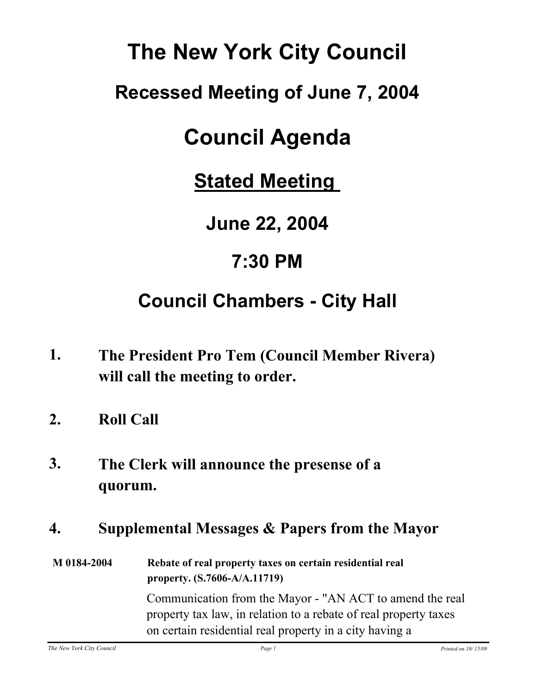# **The New York City Council**

## **Recessed Meeting of June 7, 2004**

# **Council Agenda**

**Stated Meeting** 

**June 22, 2004**

**7:30 PM**

## **Council Chambers - City Hall**

- **The President Pro Tem (Council Member Rivera) will call the meeting to order. 1.**
- **2. Roll Call**
- **The Clerk will announce the presense of a quorum. 3.**

### **4. Supplemental Messages & Papers from the Mayor**

**M 0184-2004 Rebate of real property taxes on certain residential real property. (S.7606-A/A.11719)** Communication from the Mayor - "AN ACT to amend the real property tax law, in relation to a rebate of real property taxes on certain residential real property in a city having a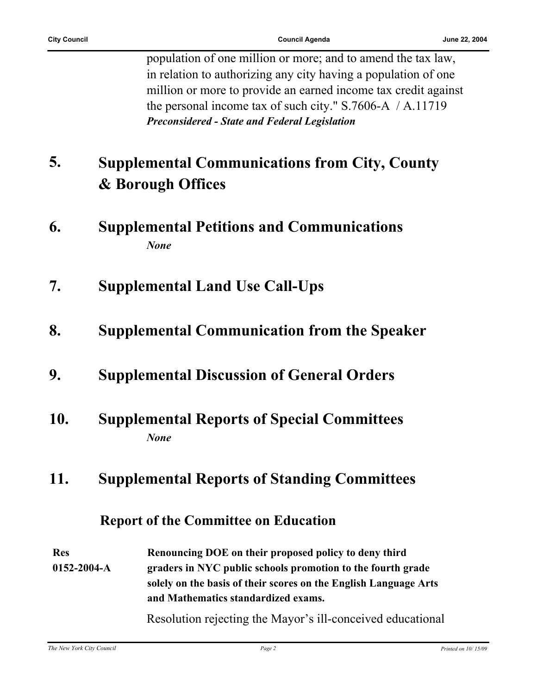population of one million or more; and to amend the tax law, in relation to authorizing any city having a population of one million or more to provide an earned income tax credit against the personal income tax of such city." S.7606-A / A.11719 *Preconsidered - State and Federal Legislation*

#### **Supplemental Communications from City, County & Borough Offices 5.**

- **6. Supplemental Petitions and Communications** *None*
- **7. Supplemental Land Use Call-Ups**
- **8. Supplemental Communication from the Speaker**
- **9. Supplemental Discussion of General Orders**
- **10. Supplemental Reports of Special Committees** *None*

### **11. Supplemental Reports of Standing Committees**

### **Report of the Committee on Education**

**Res 0152-2004-A Renouncing DOE on their proposed policy to deny third graders in NYC public schools promotion to the fourth grade solely on the basis of their scores on the English Language Arts and Mathematics standardized exams.**

Resolution rejecting the Mayor's ill-conceived educational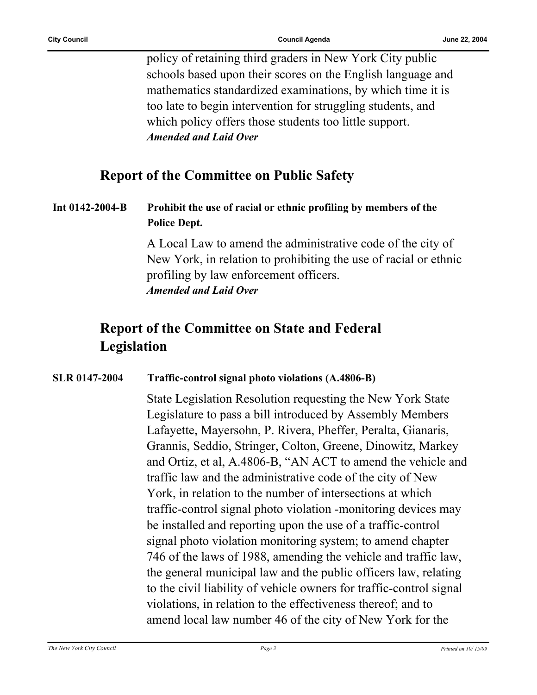policy of retaining third graders in New York City public schools based upon their scores on the English language and mathematics standardized examinations, by which time it is too late to begin intervention for struggling students, and which policy offers those students too little support. *Amended and Laid Over*

#### **Report of the Committee on Public Safety**

#### **Int 0142-2004-B Prohibit the use of racial or ethnic profiling by members of the Police Dept.**

A Local Law to amend the administrative code of the city of New York, in relation to prohibiting the use of racial or ethnic profiling by law enforcement officers. *Amended and Laid Over*

### **Report of the Committee on State and Federal Legislation**

#### **SLR 0147-2004 Traffic-control signal photo violations (A.4806-B)**

State Legislation Resolution requesting the New York State Legislature to pass a bill introduced by Assembly Members Lafayette, Mayersohn, P. Rivera, Pheffer, Peralta, Gianaris, Grannis, Seddio, Stringer, Colton, Greene, Dinowitz, Markey and Ortiz, et al, A.4806-B, "AN ACT to amend the vehicle and traffic law and the administrative code of the city of New York, in relation to the number of intersections at which traffic-control signal photo violation -monitoring devices may be installed and reporting upon the use of a traffic-control signal photo violation monitoring system; to amend chapter 746 of the laws of 1988, amending the vehicle and traffic law, the general municipal law and the public officers law, relating to the civil liability of vehicle owners for traffic-control signal violations, in relation to the effectiveness thereof; and to amend local law number 46 of the city of New York for the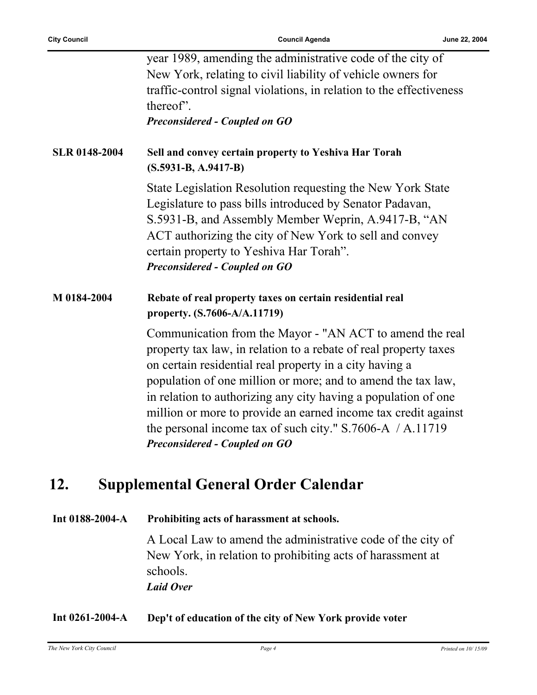|                      | year 1989, amending the administrative code of the city of<br>New York, relating to civil liability of vehicle owners for<br>traffic-control signal violations, in relation to the effectiveness<br>thereof".<br><b>Preconsidered - Coupled on GO</b>                                                                                                                                                                                                                                       |
|----------------------|---------------------------------------------------------------------------------------------------------------------------------------------------------------------------------------------------------------------------------------------------------------------------------------------------------------------------------------------------------------------------------------------------------------------------------------------------------------------------------------------|
| <b>SLR 0148-2004</b> | Sell and convey certain property to Yeshiva Har Torah<br>$(S.5931-B, A.9417-B)$                                                                                                                                                                                                                                                                                                                                                                                                             |
|                      | State Legislation Resolution requesting the New York State<br>Legislature to pass bills introduced by Senator Padavan,<br>S.5931-B, and Assembly Member Weprin, A.9417-B, "AN<br>ACT authorizing the city of New York to sell and convey<br>certain property to Yeshiva Har Torah".<br>Preconsidered - Coupled on GO                                                                                                                                                                        |
| M 0184-2004          | Rebate of real property taxes on certain residential real<br>property. (S.7606-A/A.11719)                                                                                                                                                                                                                                                                                                                                                                                                   |
|                      | Communication from the Mayor - "AN ACT to amend the real<br>property tax law, in relation to a rebate of real property taxes<br>on certain residential real property in a city having a<br>population of one million or more; and to amend the tax law,<br>in relation to authorizing any city having a population of one<br>million or more to provide an earned income tax credit against<br>the personal income tax of such city." $S.7606-A$ / A.11719<br>Preconsidered - Coupled on GO |

### **12. Supplemental General Order Calendar**

**Int 0188-2004-A Prohibiting acts of harassment at schools.**

A Local Law to amend the administrative code of the city of New York, in relation to prohibiting acts of harassment at schools. *Laid Over*

#### **Int 0261-2004-A Dep't of education of the city of New York provide voter**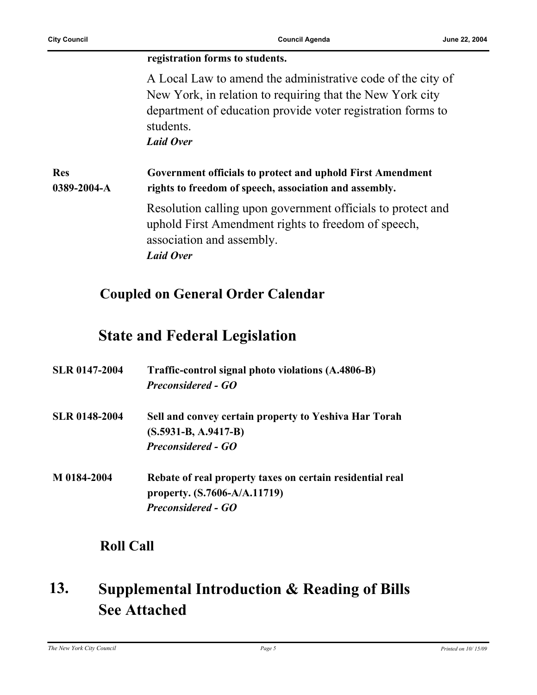#### **registration forms to students.** A Local Law to amend the administrative code of the city of New York, in relation to requiring that the New York city department of education provide voter registration forms to students. *Laid Over* **Res 0389-2004-A Government officials to protect and uphold First Amendment rights to freedom of speech, association and assembly.** Resolution calling upon government officials to protect and uphold First Amendment rights to freedom of speech, association and assembly. *Laid Over*

### **Coupled on General Order Calendar**

### **State and Federal Legislation**

| <b>SLR 0147-2004</b> | Traffic-control signal photo violations (A.4806-B)<br><b>Preconsidered - GO</b>                                        |
|----------------------|------------------------------------------------------------------------------------------------------------------------|
| <b>SLR 0148-2004</b> | Sell and convey certain property to Yeshiva Har Torah<br>$(S.5931-B, A.9417-B)$<br><b>Preconsidered - GO</b>           |
| M 0184-2004          | Rebate of real property taxes on certain residential real<br>property. (S.7606-A/A.11719)<br><b>Preconsidered - GO</b> |

### **Roll Call**

#### **Supplemental Introduction & Reading of Bills See Attached 13.**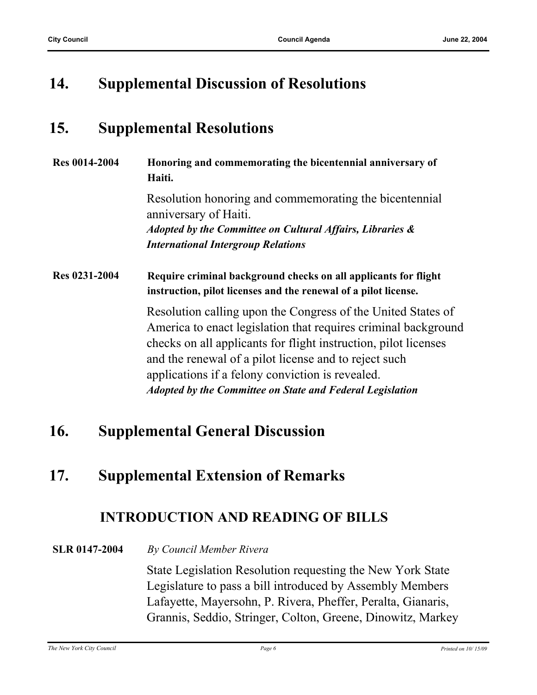### **14. Supplemental Discussion of Resolutions**

### **15. Supplemental Resolutions**

| <b>Res 0014-2004</b> | Honoring and commemorating the bicentennial anniversary of<br>Haiti.                                                                                                                                                                                                                                                                                                               |
|----------------------|------------------------------------------------------------------------------------------------------------------------------------------------------------------------------------------------------------------------------------------------------------------------------------------------------------------------------------------------------------------------------------|
|                      | Resolution honoring and commemorating the bicentennial<br>anniversary of Haiti.                                                                                                                                                                                                                                                                                                    |
|                      | Adopted by the Committee on Cultural Affairs, Libraries &<br><b>International Intergroup Relations</b>                                                                                                                                                                                                                                                                             |
| Res 0231-2004        | Require criminal background checks on all applicants for flight<br>instruction, pilot licenses and the renewal of a pilot license.                                                                                                                                                                                                                                                 |
|                      | Resolution calling upon the Congress of the United States of<br>America to enact legislation that requires criminal background<br>checks on all applicants for flight instruction, pilot licenses<br>and the renewal of a pilot license and to reject such<br>applications if a felony conviction is revealed.<br><b>Adopted by the Committee on State and Federal Legislation</b> |

### **16. Supplemental General Discussion**

### **17. Supplemental Extension of Remarks**

### **INTRODUCTION AND READING OF BILLS**

**SLR 0147-2004** *By Council Member Rivera*

State Legislation Resolution requesting the New York State Legislature to pass a bill introduced by Assembly Members Lafayette, Mayersohn, P. Rivera, Pheffer, Peralta, Gianaris, Grannis, Seddio, Stringer, Colton, Greene, Dinowitz, Markey